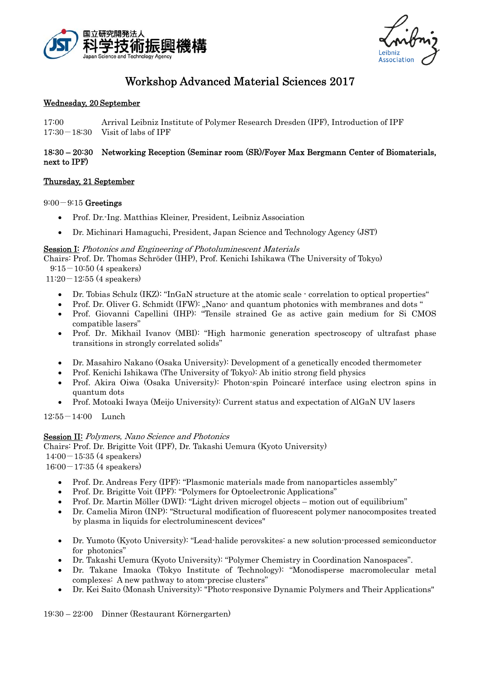



# Workshop Advanced Material Sciences 2017

### Wednesday, 20 September

17:00 Arrival Leibniz Institute of Polymer Research Dresden (IPF), Introduction of IPF 17:30-18:30 Visit of labs of IPF

## 18:30 – 20:30 Networking Reception (Seminar room (SR)/Foyer Max Bergmann Center of Biomaterials, next to IPF)

## Thursday, 21 September

 $9:00-9:15$  Greetings

- Prof. Dr.-Ing. Matthias Kleiner, President, Leibniz Association
- Dr. Michinari Hamaguchi, President, Japan Science and Technology Agency (JST)

## Session I: Photonics and Engineering of Photoluminescent Materials

Chairs: Prof. Dr. Thomas Schröder (IHP), Prof. Kenichi Ishikawa (The University of Tokyo)

 $9:15-10:50$  (4 speakers)

- $11:20-12:55$  (4 speakers)
	- Dr. Tobias Schulz (IKZ): "InGaN structure at the atomic scale correlation to optical properties"
	- Prof. Dr. Oliver G. Schmidt (IFW): "Nano- and quantum photonics with membranes and dots "
	- Prof. Giovanni Capellini (IHP): "Tensile strained Ge as active gain medium for Si CMOS compatible lasers"
	- Prof. Dr. Mikhail Ivanov (MBI): "High harmonic generation spectroscopy of ultrafast phase transitions in strongly correlated solids"
	- Dr. Masahiro Nakano (Osaka University): Development of a genetically encoded thermometer
	- Prof. Kenichi Ishikawa (The University of Tokyo): Ab initio strong field physics
	- Prof. Akira Oiwa (Osaka University): Photon-spin Poincaré interface using electron spins in quantum dots
	- Prof. Motoaki Iwaya (Meijo University): Current status and expectation of AlGaN UV lasers

12:55-14:00 Lunch

### Session II: Polymers, Nano Science and Photonics

Chairs: Prof. Dr. Brigitte Voit (IPF), Dr. Takashi Uemura (Kyoto University)

 $14:00-15:35$  (4 speakers)

 $16:00-17:35$  (4 speakers)

- Prof. Dr. Andreas Fery (IPF): "Plasmonic materials made from nanoparticles assembly"
- Prof. Dr. Brigitte Voit (IPF): "Polymers for Optoelectronic Applications"
- Prof. Dr. Martin Möller (DWI): "Light driven microgel objects motion out of equilibrium"
- Dr. Camelia Miron (INP): "Structural modification of fluorescent polymer nanocomposites treated by plasma in liquids for electroluminescent devices"
- Dr. Yumoto (Kyoto University): "Lead-halide perovskites: a new solution-processed semiconductor for photonics"
- Dr. Takashi Uemura (Kyoto University): "Polymer Chemistry in Coordination Nanospaces".
- Dr. Takane Imaoka (Tokyo Institute of Technology): "Monodisperse macromolecular metal complexes: A new pathway to atom-precise clusters"
- Dr. Kei Saito (Monash University): "Photo-responsive Dynamic Polymers and Their Applications"

19:30 – 22:00 Dinner (Restaurant Körnergarten)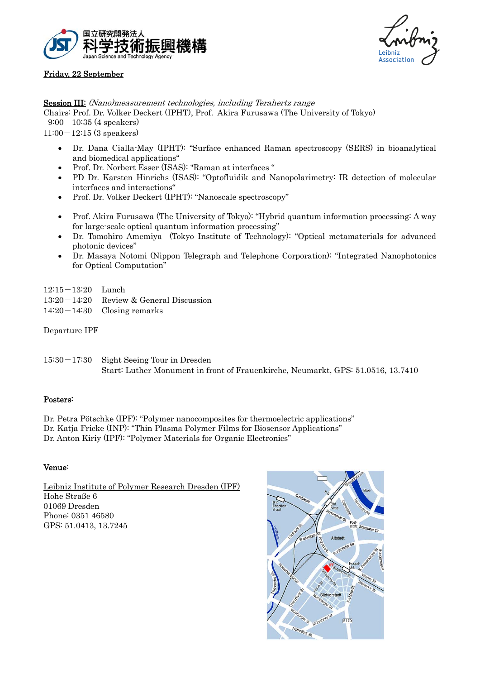



## Friday, 22 September

Session III: (Nano)measurement technologies, including Terahertz range

Chairs: Prof. Dr. Volker Deckert (IPHT), Prof. Akira Furusawa (The University of Tokyo)

 $9:00-10:35$  (4 speakers)

 $11:00-12:15$  (3 speakers)

- Dr. Dana Cialla-May (IPHT): "Surface enhanced Raman spectroscopy (SERS) in bioanalytical and biomedical applications"
- Prof. Dr. Norbert Esser (ISAS): "Raman at interfaces "
- PD Dr. Karsten Hinrichs (ISAS): "Optofluidik and Nanopolarimetry: IR detection of molecular interfaces and interactions"
- Prof. Dr. Volker Deckert (IPHT): "Nanoscale spectroscopy"
- Prof. Akira Furusawa (The University of Tokyo): "Hybrid quantum information processing: A way for large-scale optical quantum information processing"
- Dr. Tomohiro Amemiya (Tokyo Institute of Technology): "Optical metamaterials for advanced photonic devices"
- Dr. Masaya Notomi (Nippon Telegraph and Telephone Corporation): "Integrated Nanophotonics for Optical Computation"
- 12:15-13:20 Lunch
- 13:20-14:20 Review & General Discussion
- 14:20-14:30 Closing remarks

Departure IPF

15:30-17:30 Sight Seeing Tour in Dresden Start: Luther Monument in front of Frauenkirche, Neumarkt, GPS: 51.0516, 13.7410

# Posters:

Dr. Petra Pötschke (IPF): "Polymer nanocomposites for thermoelectric applications" Dr. Katja Fricke (INP): "Thin Plasma Polymer Films for Biosensor Applications" Dr. Anton Kiriy (IPF): "Polymer Materials for Organic Electronics"

### Venue:

Leibniz Institute of Polymer Research Dresden (IPF) Hohe Straße 6 01069 Dresden Phone: 0351 46580 GPS: 51.0413, 13.7245